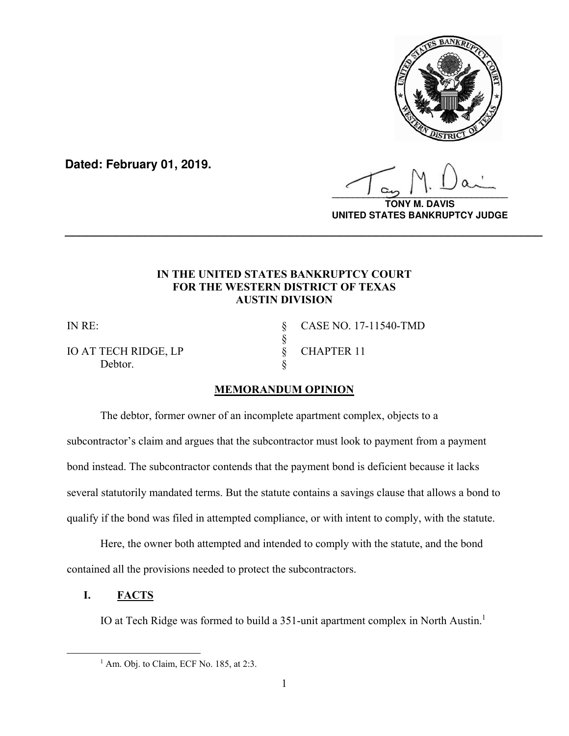

**Dated: February 01, 2019.**

**\_\_\_\_\_\_\_\_\_\_\_\_\_\_\_\_\_\_\_\_\_\_\_\_\_\_\_\_\_\_\_\_\_\_**

**TONY M. DAVIS UNITED STATES BANKRUPTCY JUDGE**

## **IN THE UNITED STATES BANKRUPTCY COURT FOR THE WESTERN DISTRICT OF TEXAS AUSTIN DIVISION**

**\_\_\_\_\_\_\_\_\_\_\_\_\_\_\_\_\_\_\_\_\_\_\_\_\_\_\_\_\_\_\_\_\_\_\_\_\_\_\_\_\_\_\_\_\_\_\_\_\_\_\_\_\_\_\_\_\_\_\_\_\_\_\_\_\_\_**

Debtor.

§

IN RE: § CASE NO. 17-11540-TMD IO AT TECH RIDGE, LP  $\begin{array}{cc} \S \\ \S \end{array}$  CHAPTER 11

## **MEMORANDUM OPINION**

The debtor, former owner of an incomplete apartment complex, objects to a subcontractor's claim and argues that the subcontractor must look to payment from a payment bond instead. The subcontractor contends that the payment bond is deficient because it lacks several statutorily mandated terms. But the statute contains a savings clause that allows a bond to qualify if the bond was filed in attempted compliance, or with intent to comply, with the statute.

Here, the owner both attempted and intended to comply with the statute, and the bond contained all the provisions needed to protect the subcontractors.

**I. FACTS** 

IO at Tech Ridge was formed to build a 351-unit apartment complex in North Austin.<sup>1</sup>

<sup>&</sup>lt;u>1</u>  $<sup>1</sup>$  Am. Obj. to Claim, ECF No. 185, at 2:3.</sup>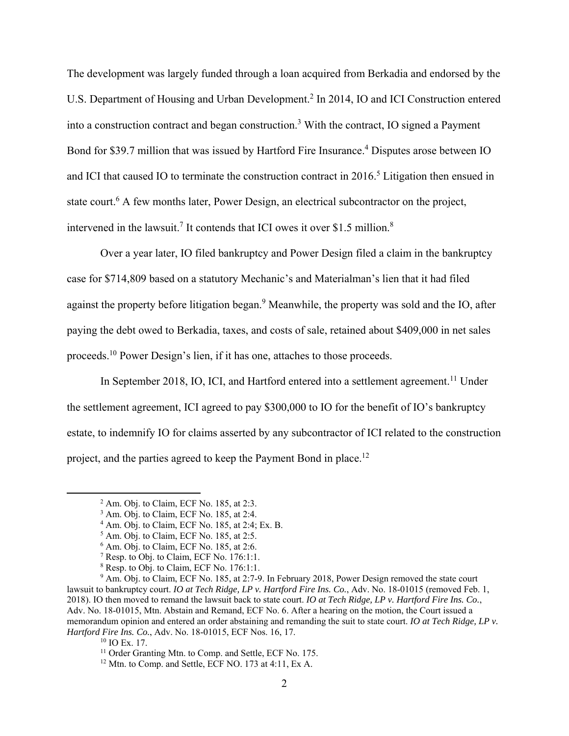The development was largely funded through a loan acquired from Berkadia and endorsed by the U.S. Department of Housing and Urban Development.<sup>2</sup> In 2014, IO and ICI Construction entered into a construction contract and began construction.<sup>3</sup> With the contract, IO signed a Payment Bond for \$39.7 million that was issued by Hartford Fire Insurance.<sup>4</sup> Disputes arose between IO and ICI that caused IO to terminate the construction contract in  $2016$ <sup>5</sup>. Litigation then ensued in state court.<sup>6</sup> A few months later, Power Design, an electrical subcontractor on the project, intervened in the lawsuit.<sup>7</sup> It contends that ICI owes it over \$1.5 million.<sup>8</sup>

Over a year later, IO filed bankruptcy and Power Design filed a claim in the bankruptcy case for \$714,809 based on a statutory Mechanic's and Materialman's lien that it had filed against the property before litigation began.<sup>9</sup> Meanwhile, the property was sold and the IO, after paying the debt owed to Berkadia, taxes, and costs of sale, retained about \$409,000 in net sales proceeds.10 Power Design's lien, if it has one, attaches to those proceeds.

In September 2018, IO, ICI, and Hartford entered into a settlement agreement.<sup>11</sup> Under the settlement agreement, ICI agreed to pay \$300,000 to IO for the benefit of IO's bankruptcy estate, to indemnify IO for claims asserted by any subcontractor of ICI related to the construction project, and the parties agreed to keep the Payment Bond in place.<sup>12</sup>

 $\overline{\phantom{a}}$  $2$  Am. Obj. to Claim, ECF No. 185, at 2:3.

<sup>&</sup>lt;sup>3</sup> Am. Obj. to Claim, ECF No. 185, at 2:4.

 $4$  Am. Obj. to Claim, ECF No. 185, at 2:4; Ex. B.

<sup>5</sup> Am. Obj. to Claim, ECF No. 185, at 2:5.

<sup>6</sup> Am. Obj. to Claim, ECF No. 185, at 2:6.

 $<sup>7</sup>$  Resp. to Obj. to Claim, ECF No. 176:1:1.</sup>

<sup>&</sup>lt;sup>8</sup> Resp. to Obj. to Claim, ECF No. 176:1:1.

<sup>&</sup>lt;sup>9</sup> Am. Obj. to Claim, ECF No. 185, at 2:7-9. In February 2018, Power Design removed the state court lawsuit to bankruptcy court. *IO at Tech Ridge, LP v. Hartford Fire Ins. Co.*, Adv. No. 18-01015 (removed Feb. 1, 2018). IO then moved to remand the lawsuit back to state court. *IO at Tech Ridge, LP v. Hartford Fire Ins. Co.*, Adv. No. 18-01015, Mtn. Abstain and Remand, ECF No. 6. After a hearing on the motion, the Court issued a memorandum opinion and entered an order abstaining and remanding the suit to state court. *IO at Tech Ridge, LP v. Hartford Fire Ins. Co.*, Adv. No. 18-01015, ECF Nos. 16, 17.

 $10$  IO Ex. 17.<br><sup>11</sup> Order Granting Mtn. to Comp. and Settle, ECF No. 175.

 $12$  Mtn. to Comp. and Settle, ECF NO. 173 at 4:11, Ex A.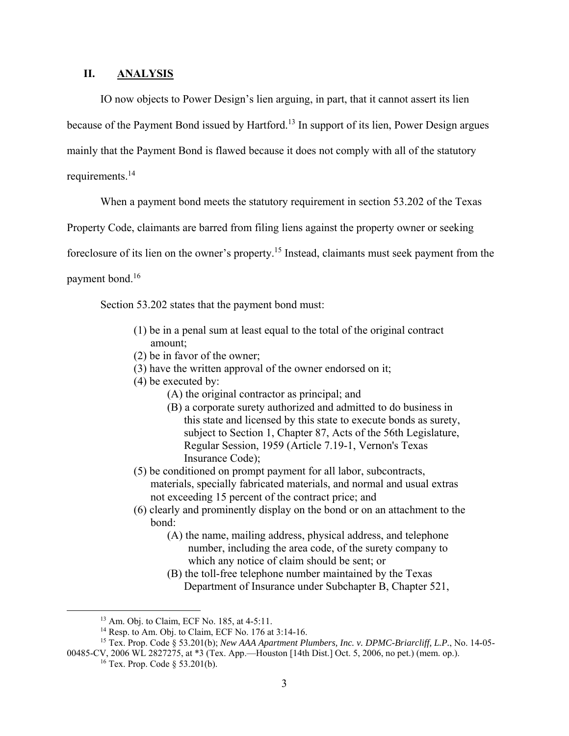## **II. ANALYSIS**

IO now objects to Power Design's lien arguing, in part, that it cannot assert its lien because of the Payment Bond issued by Hartford.<sup>13</sup> In support of its lien, Power Design argues mainly that the Payment Bond is flawed because it does not comply with all of the statutory requirements.<sup>14</sup>

When a payment bond meets the statutory requirement in section 53.202 of the Texas

Property Code, claimants are barred from filing liens against the property owner or seeking

foreclosure of its lien on the owner's property.15 Instead, claimants must seek payment from the

payment bond.16

Section 53.202 states that the payment bond must:

- (1) be in a penal sum at least equal to the total of the original contract amount;
- (2) be in favor of the owner;
- (3) have the written approval of the owner endorsed on it;
- (4) be executed by:
	- (A) the original contractor as principal; and
	- (B) a corporate surety authorized and admitted to do business in this state and licensed by this state to execute bonds as surety, subject to Section 1, Chapter 87, Acts of the 56th Legislature, Regular Session, 1959 (Article 7.19-1, Vernon's Texas Insurance Code);
- (5) be conditioned on prompt payment for all labor, subcontracts, materials, specially fabricated materials, and normal and usual extras not exceeding 15 percent of the contract price; and
- (6) clearly and prominently display on the bond or on an attachment to the bond:
	- (A) the name, mailing address, physical address, and telephone number, including the area code, of the surety company to which any notice of claim should be sent; or
	- (B) the toll-free telephone number maintained by the Texas Department of Insurance under Subchapter B, Chapter 521,

<sup>&</sup>lt;sup>13</sup> Am. Obj. to Claim, ECF No. 185, at 4-5:11.

<sup>14</sup> Resp. to Am. Obj. to Claim, ECF No. 176 at 3:14-16.

<sup>15</sup> Tex. Prop. Code § 53.201(b); *New AAA Apartment Plumbers, Inc. v. DPMC-Briarcliff, L.P.*, No. 14-05- 00485-CV, 2006 WL 2827275, at \*3 (Tex. App.—Houston [14th Dist.] Oct. 5, 2006, no pet.) (mem. op.).

<sup>&</sup>lt;sup>16</sup> Tex. Prop. Code  $\S$  53.201(b).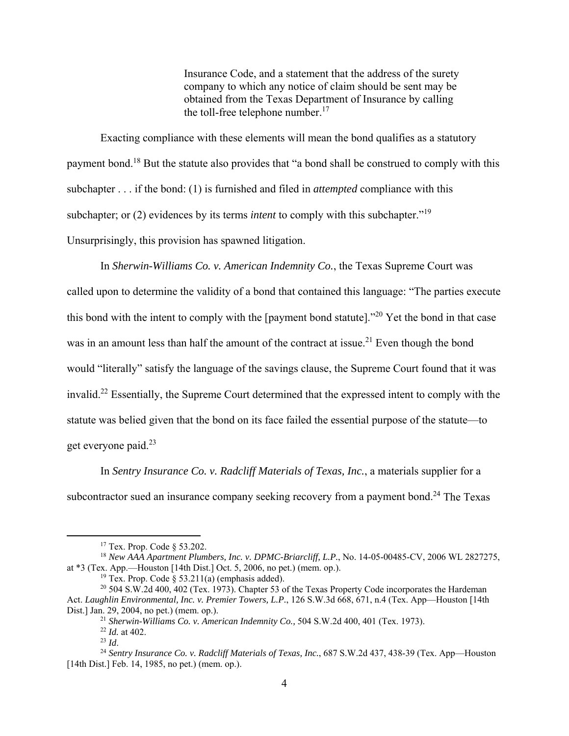Insurance Code, and a statement that the address of the surety company to which any notice of claim should be sent may be obtained from the Texas Department of Insurance by calling the toll-free telephone number. $17$ 

Exacting compliance with these elements will mean the bond qualifies as a statutory payment bond.18 But the statute also provides that "a bond shall be construed to comply with this subchapter . . . if the bond: (1) is furnished and filed in *attempted* compliance with this subchapter; or (2) evidences by its terms *intent* to comply with this subchapter."<sup>19</sup> Unsurprisingly, this provision has spawned litigation.

In *Sherwin-Williams Co. v. American Indemnity Co.*, the Texas Supreme Court was called upon to determine the validity of a bond that contained this language: "The parties execute this bond with the intent to comply with the [payment bond statute]."20 Yet the bond in that case was in an amount less than half the amount of the contract at issue.<sup>21</sup> Even though the bond would "literally" satisfy the language of the savings clause, the Supreme Court found that it was invalid.22 Essentially, the Supreme Court determined that the expressed intent to comply with the statute was belied given that the bond on its face failed the essential purpose of the statute—to get everyone paid.23

In *Sentry Insurance Co. v. Radcliff Materials of Texas, Inc.*, a materials supplier for a subcontractor sued an insurance company seeking recovery from a payment bond.<sup>24</sup> The Texas

 <sup>17</sup> Tex. Prop. Code § 53.202.

<sup>18</sup> *New AAA Apartment Plumbers, Inc. v. DPMC-Briarcliff, L.P.*, No. 14-05-00485-CV, 2006 WL 2827275, at \*3 (Tex. App.—Houston [14th Dist.] Oct. 5, 2006, no pet.) (mem. op.).

<sup>&</sup>lt;sup>19</sup> Tex. Prop. Code § 53.211(a) (emphasis added).

<sup>&</sup>lt;sup>20</sup> 504 S.W.2d 400,  $402$  (Tex. 1973). Chapter 53 of the Texas Property Code incorporates the Hardeman Act. *Laughlin Environmental, Inc. v. Premier Towers, L.P.*, 126 S.W.3d 668, 671, n.4 (Tex. App—Houston [14th Dist.] Jan. 29, 2004, no pet.) (mem. op.). 21 *Sherwin-Williams Co. v. American Indemnity Co.,* 504 S.W.2d 400, 401 (Tex. 1973). 22 *Id.* at 402.

<sup>&</sup>lt;sup>24</sup> Sentry Insurance Co. v. Radcliff Materials of Texas, Inc., 687 S.W.2d 437, 438-39 (Tex. App-Houston [14th Dist.] Feb. 14, 1985, no pet.) (mem. op.).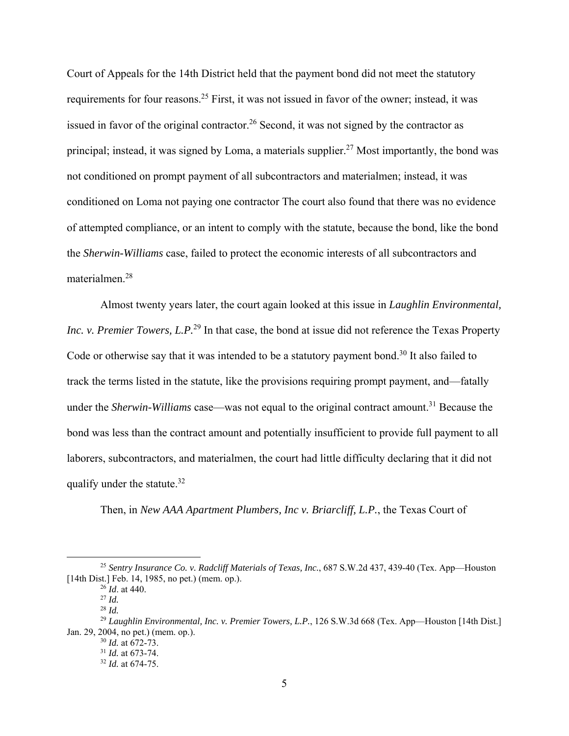Court of Appeals for the 14th District held that the payment bond did not meet the statutory requirements for four reasons.25 First, it was not issued in favor of the owner; instead, it was issued in favor of the original contractor.<sup>26</sup> Second, it was not signed by the contractor as principal; instead, it was signed by Loma, a materials supplier.<sup>27</sup> Most importantly, the bond was not conditioned on prompt payment of all subcontractors and materialmen; instead, it was conditioned on Loma not paying one contractor The court also found that there was no evidence of attempted compliance, or an intent to comply with the statute, because the bond, like the bond the *Sherwin-Williams* case, failed to protect the economic interests of all subcontractors and materialmen.28

Almost twenty years later, the court again looked at this issue in *Laughlin Environmental, Inc. v. Premier Towers, L.P.*<sup>29</sup> In that case, the bond at issue did not reference the Texas Property Code or otherwise say that it was intended to be a statutory payment bond.<sup>30</sup> It also failed to track the terms listed in the statute, like the provisions requiring prompt payment, and—fatally under the *Sherwin-Williams* case—was not equal to the original contract amount.<sup>31</sup> Because the bond was less than the contract amount and potentially insufficient to provide full payment to all laborers, subcontractors, and materialmen, the court had little difficulty declaring that it did not qualify under the statute.<sup>32</sup>

Then, in *New AAA Apartment Plumbers, Inc v. Briarcliff, L.P.*, the Texas Court of

 <sup>25</sup> *Sentry Insurance Co. v. Radcliff Materials of Texas, Inc.*, 687 S.W.2d 437, 439-40 (Tex. App—Houston [14th Dist.] Feb. 14, 1985, no pet.) (mem. op.).

 $^{26}$ *Id.* at 440.

<sup>27</sup> *Id.* 

<sup>28</sup> *Id.*

<sup>&</sup>lt;sup>29</sup> *Laughlin Environmental, Inc. v. Premier Towers, L.P.*, 126 S.W.3d 668 (Tex. App—Houston [14th Dist.] Jan. 29, 2004, no pet.) (mem. op.).

<sup>30</sup> *Id.* at 672-73.

<sup>31</sup> *Id.* at 673-74.

<sup>32</sup> *Id.* at 674-75.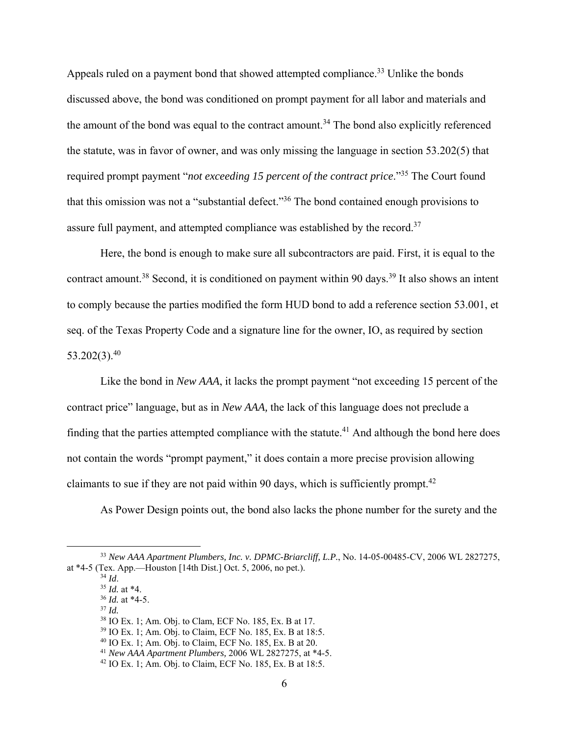Appeals ruled on a payment bond that showed attempted compliance.<sup>33</sup> Unlike the bonds discussed above, the bond was conditioned on prompt payment for all labor and materials and the amount of the bond was equal to the contract amount.<sup>34</sup> The bond also explicitly referenced the statute, was in favor of owner, and was only missing the language in section 53.202(5) that required prompt payment "*not exceeding 15 percent of the contract price*."35 The Court found that this omission was not a "substantial defect."36 The bond contained enough provisions to assure full payment, and attempted compliance was established by the record.<sup>37</sup>

Here, the bond is enough to make sure all subcontractors are paid. First, it is equal to the contract amount.<sup>38</sup> Second, it is conditioned on payment within 90 days.<sup>39</sup> It also shows an intent to comply because the parties modified the form HUD bond to add a reference section 53.001, et seq. of the Texas Property Code and a signature line for the owner, IO, as required by section  $53.202(3).^{40}$ 

Like the bond in *New AAA*, it lacks the prompt payment "not exceeding 15 percent of the contract price" language, but as in *New AAA,* the lack of this language does not preclude a finding that the parties attempted compliance with the statute.<sup>41</sup> And although the bond here does not contain the words "prompt payment," it does contain a more precise provision allowing claimants to sue if they are not paid within 90 days, which is sufficiently prompt.<sup>42</sup>

As Power Design points out, the bond also lacks the phone number for the surety and the

 <sup>33</sup> *New AAA Apartment Plumbers, Inc. v. DPMC-Briarcliff, L.P.*, No. 14-05-00485-CV, 2006 WL 2827275, at \*4-5 (Tex. App.—Houston [14th Dist.] Oct. 5, 2006, no pet.).<br> $^{34}$  *Id.* 

<sup>34</sup> *Id*. 35 *Id.* at \*4.

<sup>36</sup> *Id.* at \*4-5.

<sup>37</sup> *Id.*

<sup>38</sup> IO Ex. 1; Am. Obj. to Clam, ECF No. 185, Ex. B at 17.

<sup>39</sup> IO Ex. 1; Am. Obj. to Claim, ECF No. 185, Ex. B at 18:5.

<sup>40</sup> IO Ex. 1; Am. Obj. to Claim, ECF No. 185, Ex. B at 20.

<sup>41</sup> *New AAA Apartment Plumbers,* 2006 WL 2827275, at \*4-5.

<sup>42</sup> IO Ex. 1; Am. Obj. to Claim, ECF No. 185, Ex. B at 18:5.